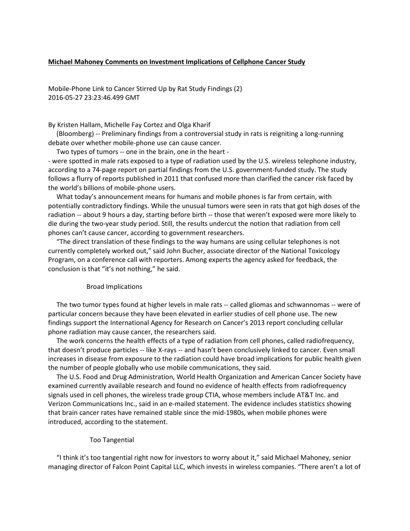# **Michael Mahoney Comments on Investment Implications of Cellphone Cancer Study**

Mobile-Phone Link to Cancer Stirred Up by Rat Study Findings (2) 2016-05-27 23:23:46.499 GMT

By Kristen Hallam, Michelle Fay Cortez and Olga Kharif

 (Bloomberg) -- Preliminary findings from a controversial study in rats is reigniting a long-running debate over whether mobile-phone use can cause cancer.

Two types of tumors -- one in the brain, one in the heart -

- were spotted in male rats exposed to a type of radiation used by the U.S. wireless telephone industry, according to a 74-page report on partial findings from the U.S. government-funded study. The study follows a flurry of reports published in 2011 that confused more than clarified the cancer risk faced by the world's billions of mobile-phone users.

 What today's announcement means for humans and mobile phones is far from certain, with potentially contradictory findings. While the unusual tumors were seen in rats that got high doses of the radiation -- about 9 hours a day, starting before birth -- those that weren't exposed were more likely to die during the two-year study period. Still, the results undercut the notion that radiation from cell phones can't cause cancer, according to government researchers.

 "The direct translation of these findings to the way humans are using cellular telephones is not currently completely worked out," said John Bucher, associate director of the National Toxicology Program, on a conference call with reporters. Among experts the agency asked for feedback, the conclusion is that "it's not nothing," he said.

#### Broad Implications

 The two tumor types found at higher levels in male rats -- called gliomas and schwannomas -- were of particular concern because they have been elevated in earlier studies of cell phone use. The new findings support the International Agency for Research on Cancer's 2013 report concluding cellular phone radiation may cause cancer, the researchers said.

 The work concerns the health effects of a type of radiation from cell phones, called radiofrequency, that doesn't produce particles -- like X-rays -- and hasn't been conclusively linked to cancer. Even small increases in disease from exposure to the radiation could have broad implications for public health given the number of people globally who use mobile communications, they said.

 The U.S. Food and Drug Administration, World Health Organization and American Cancer Society have examined currently available research and found no evidence of health effects from radiofrequency signals used in cell phones, the wireless trade group CTIA, whose members include AT&T Inc. and Verizon Communications Inc., said in an e-mailed statement. The evidence includes statistics showing that brain cancer rates have remained stable since the mid-1980s, when mobile phones were introduced, according to the statement.

# Too Tangential

 "I think it's too tangential right now for investors to worry about it," said Michael Mahoney, senior managing director of Falcon Point Capital LLC, which invests in wireless companies. "There aren't a lot of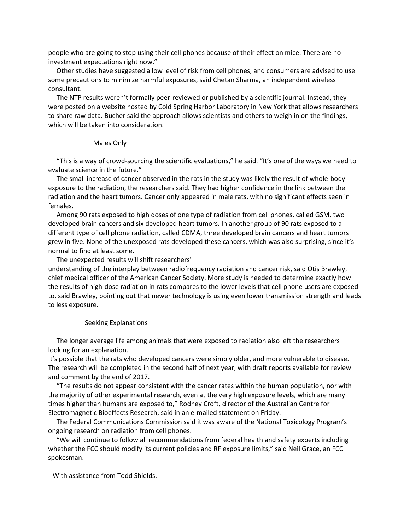people who are going to stop using their cell phones because of their effect on mice. There are no investment expectations right now."

 Other studies have suggested a low level of risk from cell phones, and consumers are advised to use some precautions to minimize harmful exposures, said Chetan Sharma, an independent wireless consultant.

 The NTP results weren't formally peer-reviewed or published by a scientific journal. Instead, they were posted on a website hosted by Cold Spring Harbor Laboratory in New York that allows researchers to share raw data. Bucher said the approach allows scientists and others to weigh in on the findings, which will be taken into consideration.

### Males Only

 "This is a way of crowd-sourcing the scientific evaluations," he said. "It's one of the ways we need to evaluate science in the future."

 The small increase of cancer observed in the rats in the study was likely the result of whole-body exposure to the radiation, the researchers said. They had higher confidence in the link between the radiation and the heart tumors. Cancer only appeared in male rats, with no significant effects seen in females.

 Among 90 rats exposed to high doses of one type of radiation from cell phones, called GSM, two developed brain cancers and six developed heart tumors. In another group of 90 rats exposed to a different type of cell phone radiation, called CDMA, three developed brain cancers and heart tumors grew in five. None of the unexposed rats developed these cancers, which was also surprising, since it's normal to find at least some.

The unexpected results will shift researchers'

understanding of the interplay between radiofrequency radiation and cancer risk, said Otis Brawley, chief medical officer of the American Cancer Society. More study is needed to determine exactly how the results of high-dose radiation in rats compares to the lower levels that cell phone users are exposed to, said Brawley, pointing out that newer technology is using even lower transmission strength and leads to less exposure.

#### Seeking Explanations

 The longer average life among animals that were exposed to radiation also left the researchers looking for an explanation.

It's possible that the rats who developed cancers were simply older, and more vulnerable to disease. The research will be completed in the second half of next year, with draft reports available for review and comment by the end of 2017.

 "The results do not appear consistent with the cancer rates within the human population, nor with the majority of other experimental research, even at the very high exposure levels, which are many times higher than humans are exposed to," Rodney Croft, director of the Australian Centre for Electromagnetic Bioeffects Research, said in an e-mailed statement on Friday.

 The Federal Communications Commission said it was aware of the National Toxicology Program's ongoing research on radiation from cell phones.

 "We will continue to follow all recommendations from federal health and safety experts including whether the FCC should modify its current policies and RF exposure limits," said Neil Grace, an FCC spokesman.

--With assistance from Todd Shields.